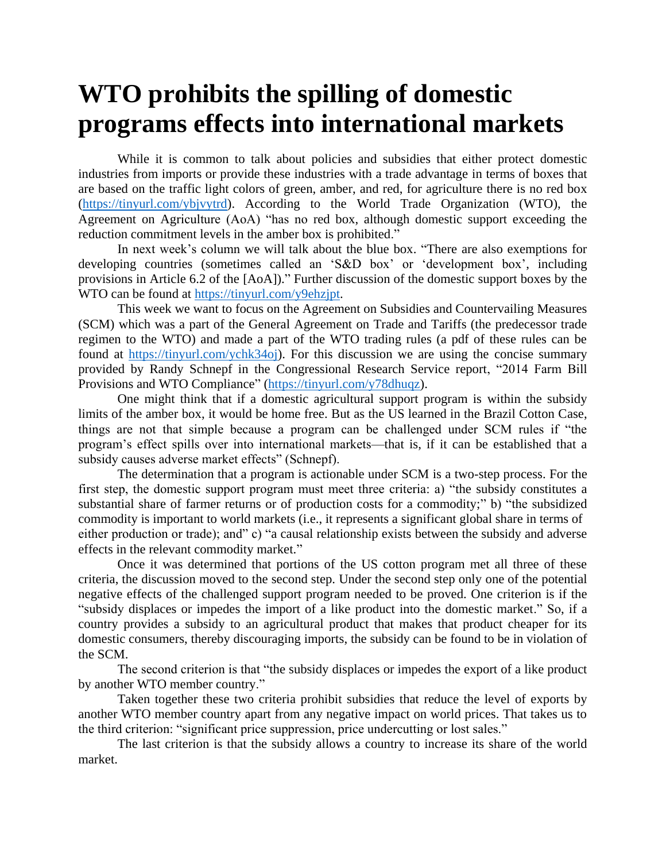## **WTO prohibits the spilling of domestic programs effects into international markets**

While it is common to talk about policies and subsidies that either protect domestic industries from imports or provide these industries with a trade advantage in terms of boxes that are based on the traffic light colors of green, amber, and red, for agriculture there is no red box [\(https://tinyurl.com/ybjvytrd\)](https://tinyurl.com/ybjvytrd). According to the World Trade Organization (WTO), the Agreement on Agriculture (AoA) "has no red box, although domestic support exceeding the reduction commitment levels in the amber box is prohibited."

In next week's column we will talk about the blue box. "There are also exemptions for developing countries (sometimes called an 'S&D box' or 'development box', including provisions in Article 6.2 of the [AoA])." Further discussion of the domestic support boxes by the WTO can be found at [https://tinyurl.com/y9ehzjpt.](https://tinyurl.com/y9ehzjpt)

This week we want to focus on the Agreement on Subsidies and Countervailing Measures (SCM) which was a part of the General Agreement on Trade and Tariffs (the predecessor trade regimen to the WTO) and made a part of the WTO trading rules (a pdf of these rules can be found at [https://tinyurl.com/ychk34oj\)](https://tinyurl.com/ychk34oj). For this discussion we are using the concise summary provided by Randy Schnepf in the Congressional Research Service report, "2014 Farm Bill Provisions and WTO Compliance" [\(https://tinyurl.com/y78dhuqz\)](https://tinyurl.com/y78dhuqz).

One might think that if a domestic agricultural support program is within the subsidy limits of the amber box, it would be home free. But as the US learned in the Brazil Cotton Case, things are not that simple because a program can be challenged under SCM rules if "the program's effect spills over into international markets—that is, if it can be established that a subsidy causes adverse market effects" (Schnepf).

The determination that a program is actionable under SCM is a two-step process. For the first step, the domestic support program must meet three criteria: a) "the subsidy constitutes a substantial share of farmer returns or of production costs for a commodity;" b) "the subsidized commodity is important to world markets (i.e., it represents a significant global share in terms of either production or trade); and" c) "a causal relationship exists between the subsidy and adverse effects in the relevant commodity market."

Once it was determined that portions of the US cotton program met all three of these criteria, the discussion moved to the second step. Under the second step only one of the potential negative effects of the challenged support program needed to be proved. One criterion is if the "subsidy displaces or impedes the import of a like product into the domestic market." So, if a country provides a subsidy to an agricultural product that makes that product cheaper for its domestic consumers, thereby discouraging imports, the subsidy can be found to be in violation of the SCM.

The second criterion is that "the subsidy displaces or impedes the export of a like product by another WTO member country."

Taken together these two criteria prohibit subsidies that reduce the level of exports by another WTO member country apart from any negative impact on world prices. That takes us to the third criterion: "significant price suppression, price undercutting or lost sales."

The last criterion is that the subsidy allows a country to increase its share of the world market.